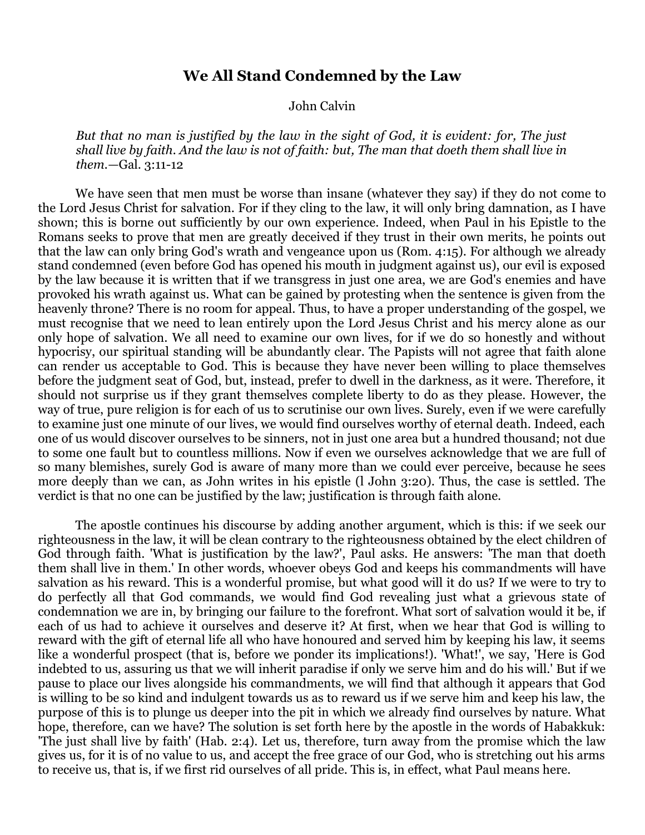## **We All Stand Condemned by the Law**

John Calvin

*But that no man is justified by the law in the sight of God, it is evident: for, The just shall live by faith. And the law is not of faith: but, The man that doeth them shall live in them.—*Gal. 3:11-12

We have seen that men must be worse than insane (whatever they say) if they do not come to the Lord Jesus Christ for salvation. For if they cling to the law, it will only bring damnation, as I have shown; this is borne out sufficiently by our own experience. Indeed, when Paul in his Epistle to the Romans seeks to prove that men are greatly deceived if they trust in their own merits, he points out that the law can only bring God's wrath and vengeance upon us (Rom. 4:15). For although we already stand condemned (even before God has opened his mouth in judgment against us), our evil is exposed by the law because it is written that if we transgress in just one area, we are God's enemies and have provoked his wrath against us. What can be gained by protesting when the sentence is given from the heavenly throne? There is no room for appeal. Thus, to have a proper understanding of the gospel, we must recognise that we need to lean entirely upon the Lord Jesus Christ and his mercy alone as our only hope of salvation. We all need to examine our own lives, for if we do so honestly and without hypocrisy, our spiritual standing will be abundantly clear. The Papists will not agree that faith alone can render us acceptable to God. This is because they have never been willing to place themselves before the judgment seat of God, but, instead, prefer to dwell in the darkness, as it were. Therefore, it should not surprise us if they grant themselves complete liberty to do as they please. However, the way of true, pure religion is for each of us to scrutinise our own lives. Surely, even if we were carefully to examine just one minute of our lives, we would find ourselves worthy of eternal death. Indeed, each one of us would discover ourselves to be sinners, not in just one area but a hundred thousand; not due to some one fault but to countless millions. Now if even we ourselves acknowledge that we are full of so many blemishes, surely God is aware of many more than we could ever perceive, because he sees more deeply than we can, as John writes in his epistle (l John 3:20). Thus, the case is settled. The verdict is that no one can be justified by the law; justification is through faith alone.

The apostle continues his discourse by adding another argument, which is this: if we seek our righteousness in the law, it will be clean contrary to the righteousness obtained by the elect children of God through faith. 'What is justification by the law?', Paul asks. He answers: 'The man that doeth them shall live in them.' In other words, whoever obeys God and keeps his commandments will have salvation as his reward. This is a wonderful promise, but what good will it do us? If we were to try to do perfectly all that God commands, we would find God revealing just what a grievous state of condemnation we are in, by bringing our failure to the forefront. What sort of salvation would it be, if each of us had to achieve it ourselves and deserve it? At first, when we hear that God is willing to reward with the gift of eternal life all who have honoured and served him by keeping his law, it seems like a wonderful prospect (that is, before we ponder its implications!). 'What!', we say, 'Here is God indebted to us, assuring us that we will inherit paradise if only we serve him and do his will.' But if we pause to place our lives alongside his commandments, we will find that although it appears that God is willing to be so kind and indulgent towards us as to reward us if we serve him and keep his law, the purpose of this is to plunge us deeper into the pit in which we already find ourselves by nature. What hope, therefore, can we have? The solution is set forth here by the apostle in the words of Habakkuk: 'The just shall live by faith' (Hab. 2:4). Let us, therefore, turn away from the promise which the law gives us, for it is of no value to us, and accept the free grace of our God, who is stretching out his arms to receive us, that is, if we first rid ourselves of all pride. This is, in effect, what Paul means here.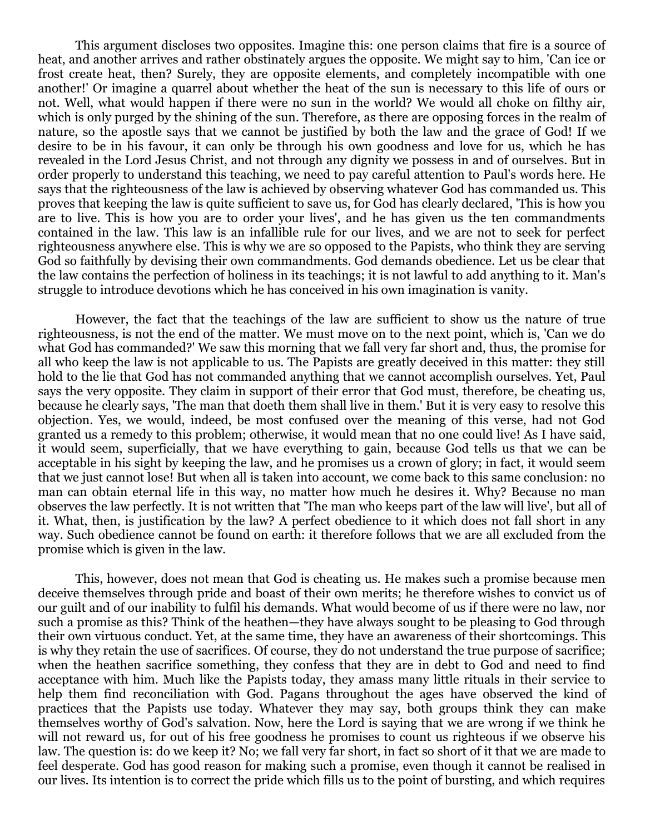This argument discloses two opposites. Imagine this: one person claims that fire is a source of heat, and another arrives and rather obstinately argues the opposite. We might say to him, 'Can ice or frost create heat, then? Surely, they are opposite elements, and completely incompatible with one another!' Or imagine a quarrel about whether the heat of the sun is necessary to this life of ours or not. Well, what would happen if there were no sun in the world? We would all choke on filthy air, which is only purged by the shining of the sun. Therefore, as there are opposing forces in the realm of nature, so the apostle says that we cannot be justified by both the law and the grace of God! If we desire to be in his favour, it can only be through his own goodness and love for us, which he has revealed in the Lord Jesus Christ, and not through any dignity we possess in and of ourselves. But in order properly to understand this teaching, we need to pay careful attention to Paul's words here. He says that the righteousness of the law is achieved by observing whatever God has commanded us. This proves that keeping the law is quite sufficient to save us, for God has clearly declared, 'This is how you are to live. This is how you are to order your lives', and he has given us the ten commandments contained in the law. This law is an infallible rule for our lives, and we are not to seek for perfect righteousness anywhere else. This is why we are so opposed to the Papists, who think they are serving God so faithfully by devising their own commandments. God demands obedience. Let us be clear that the law contains the perfection of holiness in its teachings; it is not lawful to add anything to it. Man's struggle to introduce devotions which he has conceived in his own imagination is vanity.

However, the fact that the teachings of the law are sufficient to show us the nature of true righteousness, is not the end of the matter. We must move on to the next point, which is, 'Can we do what God has commanded?' We saw this morning that we fall very far short and, thus, the promise for all who keep the law is not applicable to us. The Papists are greatly deceived in this matter: they still hold to the lie that God has not commanded anything that we cannot accomplish ourselves. Yet, Paul says the very opposite. They claim in support of their error that God must, therefore, be cheating us, because he clearly says, 'The man that doeth them shall live in them.' But it is very easy to resolve this objection. Yes, we would, indeed, be most confused over the meaning of this verse, had not God granted us a remedy to this problem; otherwise, it would mean that no one could live! As I have said, it would seem, superficially, that we have everything to gain, because God tells us that we can be acceptable in his sight by keeping the law, and he promises us a crown of glory; in fact, it would seem that we just cannot lose! But when all is taken into account, we come back to this same conclusion: no man can obtain eternal life in this way, no matter how much he desires it. Why? Because no man observes the law perfectly. It is not written that 'The man who keeps part of the law will live', but all of it. What, then, is justification by the law? A perfect obedience to it which does not fall short in any way. Such obedience cannot be found on earth: it therefore follows that we are all excluded from the promise which is given in the law.

This, however, does not mean that God is cheating us. He makes such a promise because men deceive themselves through pride and boast of their own merits; he therefore wishes to convict us of our guilt and of our inability to fulfil his demands. What would become of us if there were no law, nor such a promise as this? Think of the heathen—they have always sought to be pleasing to God through their own virtuous conduct. Yet, at the same time, they have an awareness of their shortcomings. This is why they retain the use of sacrifices. Of course, they do not understand the true purpose of sacrifice; when the heathen sacrifice something, they confess that they are in debt to God and need to find acceptance with him. Much like the Papists today, they amass many little rituals in their service to help them find reconciliation with God. Pagans throughout the ages have observed the kind of practices that the Papists use today. Whatever they may say, both groups think they can make themselves worthy of God's salvation. Now, here the Lord is saying that we are wrong if we think he will not reward us, for out of his free goodness he promises to count us righteous if we observe his law. The question is: do we keep it? No; we fall very far short, in fact so short of it that we are made to feel desperate. God has good reason for making such a promise, even though it cannot be realised in our lives. Its intention is to correct the pride which fills us to the point of bursting, and which requires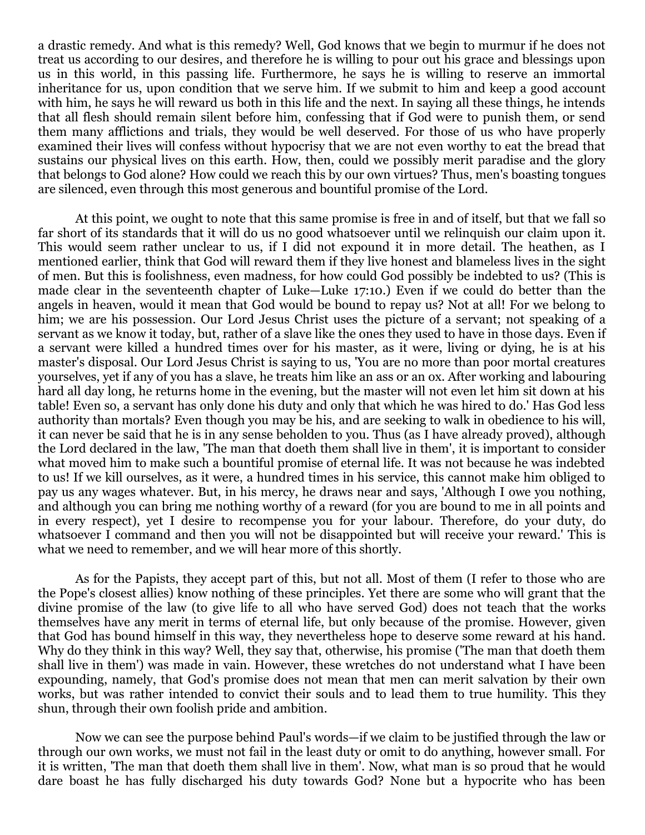a drastic remedy. And what is this remedy? Well, God knows that we begin to murmur if he does not treat us according to our desires, and therefore he is willing to pour out his grace and blessings upon us in this world, in this passing life. Furthermore, he says he is willing to reserve an immortal inheritance for us, upon condition that we serve him. If we submit to him and keep a good account with him, he says he will reward us both in this life and the next. In saying all these things, he intends that all flesh should remain silent before him, confessing that if God were to punish them, or send them many afflictions and trials, they would be well deserved. For those of us who have properly examined their lives will confess without hypocrisy that we are not even worthy to eat the bread that sustains our physical lives on this earth. How, then, could we possibly merit paradise and the glory that belongs to God alone? How could we reach this by our own virtues? Thus, men's boasting tongues are silenced, even through this most generous and bountiful promise of the Lord.

At this point, we ought to note that this same promise is free in and of itself, but that we fall so far short of its standards that it will do us no good whatsoever until we relinquish our claim upon it. This would seem rather unclear to us, if I did not expound it in more detail. The heathen, as I mentioned earlier, think that God will reward them if they live honest and blameless lives in the sight of men. But this is foolishness, even madness, for how could God possibly be indebted to us? (This is made clear in the seventeenth chapter of Luke—Luke 17:10.) Even if we could do better than the angels in heaven, would it mean that God would be bound to repay us? Not at all! For we belong to him; we are his possession. Our Lord Jesus Christ uses the picture of a servant; not speaking of a servant as we know it today, but, rather of a slave like the ones they used to have in those days. Even if a servant were killed a hundred times over for his master, as it were, living or dying, he is at his master's disposal. Our Lord Jesus Christ is saying to us, 'You are no more than poor mortal creatures yourselves, yet if any of you has a slave, he treats him like an ass or an ox. After working and labouring hard all day long, he returns home in the evening, but the master will not even let him sit down at his table! Even so, a servant has only done his duty and only that which he was hired to do.' Has God less authority than mortals? Even though you may be his, and are seeking to walk in obedience to his will, it can never be said that he is in any sense beholden to you. Thus (as I have already proved), although the Lord declared in the law, 'The man that doeth them shall live in them', it is important to consider what moved him to make such a bountiful promise of eternal life. It was not because he was indebted to us! If we kill ourselves, as it were, a hundred times in his service, this cannot make him obliged to pay us any wages whatever. But, in his mercy, he draws near and says, 'Although I owe you nothing, and although you can bring me nothing worthy of a reward (for you are bound to me in all points and in every respect), yet I desire to recompense you for your labour. Therefore, do your duty, do whatsoever I command and then you will not be disappointed but will receive your reward.' This is what we need to remember, and we will hear more of this shortly.

As for the Papists, they accept part of this, but not all. Most of them (I refer to those who are the Pope's closest allies) know nothing of these principles. Yet there are some who will grant that the divine promise of the law (to give life to all who have served God) does not teach that the works themselves have any merit in terms of eternal life, but only because of the promise. However, given that God has bound himself in this way, they nevertheless hope to deserve some reward at his hand. Why do they think in this way? Well, they say that, otherwise, his promise ('The man that doeth them shall live in them') was made in vain. However, these wretches do not understand what I have been expounding, namely, that God's promise does not mean that men can merit salvation by their own works, but was rather intended to convict their souls and to lead them to true humility. This they shun, through their own foolish pride and ambition.

Now we can see the purpose behind Paul's words—if we claim to be justified through the law or through our own works, we must not fail in the least duty or omit to do anything, however small. For it is written, 'The man that doeth them shall live in them'. Now, what man is so proud that he would dare boast he has fully discharged his duty towards God? None but a hypocrite who has been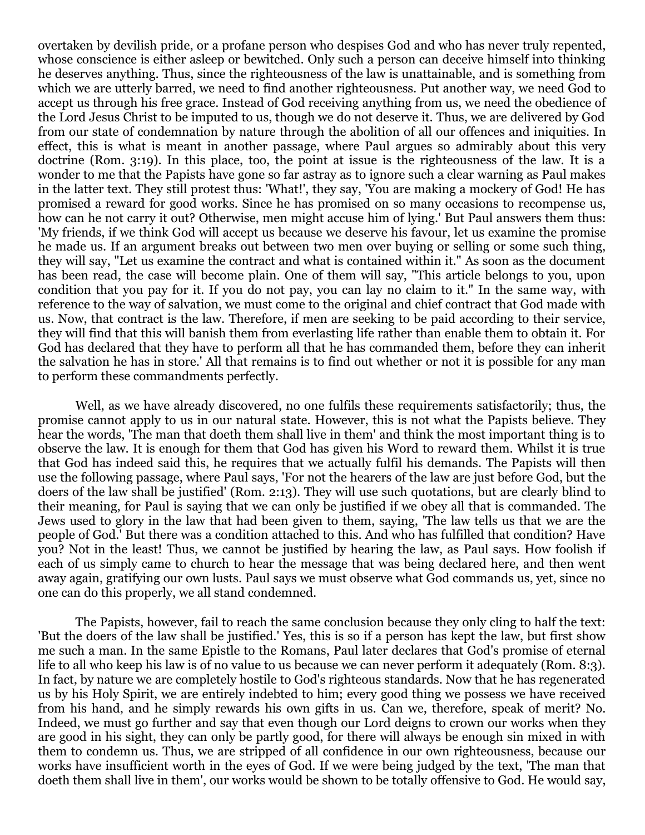overtaken by devilish pride, or a profane person who despises God and who has never truly repented, whose conscience is either asleep or bewitched. Only such a person can deceive himself into thinking he deserves anything. Thus, since the righteousness of the law is unattainable, and is something from which we are utterly barred, we need to find another righteousness. Put another way, we need God to accept us through his free grace. Instead of God receiving anything from us, we need the obedience of the Lord Jesus Christ to be imputed to us, though we do not deserve it. Thus, we are delivered by God from our state of condemnation by nature through the abolition of all our offences and iniquities. In effect, this is what is meant in another passage, where Paul argues so admirably about this very doctrine (Rom. 3:19). In this place, too, the point at issue is the righteousness of the law. It is a wonder to me that the Papists have gone so far astray as to ignore such a clear warning as Paul makes in the latter text. They still protest thus: 'What!', they say, 'You are making a mockery of God! He has promised a reward for good works. Since he has promised on so many occasions to recompense us, how can he not carry it out? Otherwise, men might accuse him of lying.' But Paul answers them thus: 'My friends, if we think God will accept us because we deserve his favour, let us examine the promise he made us. If an argument breaks out between two men over buying or selling or some such thing, they will say, "Let us examine the contract and what is contained within it." As soon as the document has been read, the case will become plain. One of them will say, "This article belongs to you, upon condition that you pay for it. If you do not pay, you can lay no claim to it." In the same way, with reference to the way of salvation, we must come to the original and chief contract that God made with us. Now, that contract is the law. Therefore, if men are seeking to be paid according to their service, they will find that this will banish them from everlasting life rather than enable them to obtain it. For God has declared that they have to perform all that he has commanded them, before they can inherit the salvation he has in store.' All that remains is to find out whether or not it is possible for any man to perform these commandments perfectly.

Well, as we have already discovered, no one fulfils these requirements satisfactorily; thus, the promise cannot apply to us in our natural state. However, this is not what the Papists believe. They hear the words, 'The man that doeth them shall live in them' and think the most important thing is to observe the law. It is enough for them that God has given his Word to reward them. Whilst it is true that God has indeed said this, he requires that we actually fulfil his demands. The Papists will then use the following passage, where Paul says, 'For not the hearers of the law are just before God, but the doers of the law shall be justified' (Rom. 2:13). They will use such quotations, but are clearly blind to their meaning, for Paul is saying that we can only be justified if we obey all that is commanded. The Jews used to glory in the law that had been given to them, saying, 'The law tells us that we are the people of God.' But there was a condition attached to this. And who has fulfilled that condition? Have you? Not in the least! Thus, we cannot be justified by hearing the law, as Paul says. How foolish if each of us simply came to church to hear the message that was being declared here, and then went away again, gratifying our own lusts. Paul says we must observe what God commands us, yet, since no one can do this properly, we all stand condemned.

The Papists, however, fail to reach the same conclusion because they only cling to half the text: 'But the doers of the law shall be justified.' Yes, this is so if a person has kept the law, but first show me such a man. In the same Epistle to the Romans, Paul later declares that God's promise of eternal life to all who keep his law is of no value to us because we can never perform it adequately (Rom. 8:3). In fact, by nature we are completely hostile to God's righteous standards. Now that he has regenerated us by his Holy Spirit, we are entirely indebted to him; every good thing we possess we have received from his hand, and he simply rewards his own gifts in us. Can we, therefore, speak of merit? No. Indeed, we must go further and say that even though our Lord deigns to crown our works when they are good in his sight, they can only be partly good, for there will always be enough sin mixed in with them to condemn us. Thus, we are stripped of all confidence in our own righteousness, because our works have insufficient worth in the eyes of God. If we were being judged by the text, 'The man that doeth them shall live in them', our works would be shown to be totally offensive to God. He would say,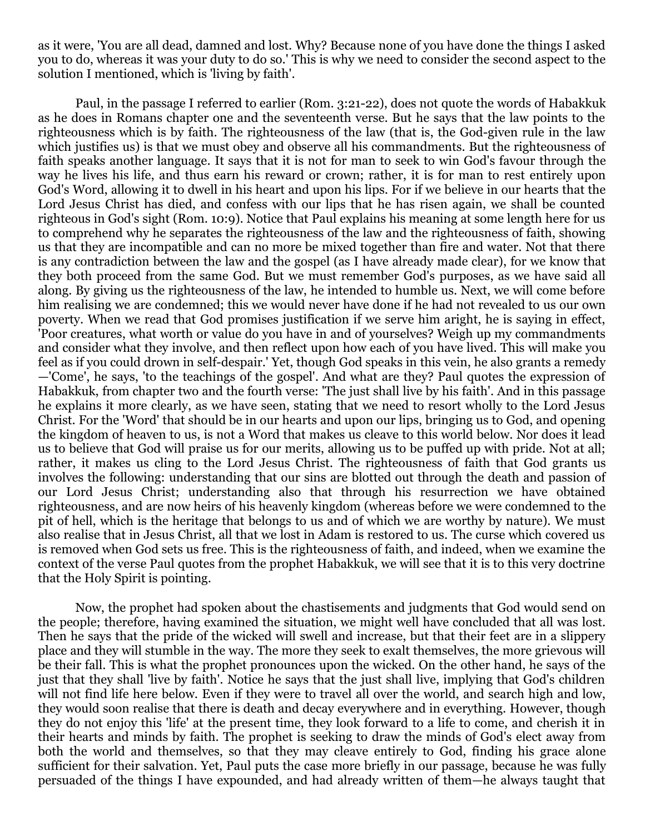as it were, 'You are all dead, damned and lost. Why? Because none of you have done the things I asked you to do, whereas it was your duty to do so.' This is why we need to consider the second aspect to the solution I mentioned, which is 'living by faith'.

Paul, in the passage I referred to earlier (Rom. 3:21-22), does not quote the words of Habakkuk as he does in Romans chapter one and the seventeenth verse. But he says that the law points to the righteousness which is by faith. The righteousness of the law (that is, the God-given rule in the law which justifies us) is that we must obey and observe all his commandments. But the righteousness of faith speaks another language. It says that it is not for man to seek to win God's favour through the way he lives his life, and thus earn his reward or crown; rather, it is for man to rest entirely upon God's Word, allowing it to dwell in his heart and upon his lips. For if we believe in our hearts that the Lord Jesus Christ has died, and confess with our lips that he has risen again, we shall be counted righteous in God's sight (Rom. 10:9). Notice that Paul explains his meaning at some length here for us to comprehend why he separates the righteousness of the law and the righteousness of faith, showing us that they are incompatible and can no more be mixed together than fire and water. Not that there is any contradiction between the law and the gospel (as I have already made clear), for we know that they both proceed from the same God. But we must remember God's purposes, as we have said all along. By giving us the righteousness of the law, he intended to humble us. Next, we will come before him realising we are condemned; this we would never have done if he had not revealed to us our own poverty. When we read that God promises justification if we serve him aright, he is saying in effect, 'Poor creatures, what worth or value do you have in and of yourselves? Weigh up my commandments and consider what they involve, and then reflect upon how each of you have lived. This will make you feel as if you could drown in self-despair.' Yet, though God speaks in this vein, he also grants a remedy —'Come', he says, 'to the teachings of the gospel'. And what are they? Paul quotes the expression of Habakkuk, from chapter two and the fourth verse: 'The just shall live by his faith'. And in this passage he explains it more clearly, as we have seen, stating that we need to resort wholly to the Lord Jesus Christ. For the 'Word' that should be in our hearts and upon our lips, bringing us to God, and opening the kingdom of heaven to us, is not a Word that makes us cleave to this world below. Nor does it lead us to believe that God will praise us for our merits, allowing us to be puffed up with pride. Not at all; rather, it makes us cling to the Lord Jesus Christ. The righteousness of faith that God grants us involves the following: understanding that our sins are blotted out through the death and passion of our Lord Jesus Christ; understanding also that through his resurrection we have obtained righteousness, and are now heirs of his heavenly kingdom (whereas before we were condemned to the pit of hell, which is the heritage that belongs to us and of which we are worthy by nature). We must also realise that in Jesus Christ, all that we lost in Adam is restored to us. The curse which covered us is removed when God sets us free. This is the righteousness of faith, and indeed, when we examine the context of the verse Paul quotes from the prophet Habakkuk, we will see that it is to this very doctrine that the Holy Spirit is pointing.

Now, the prophet had spoken about the chastisements and judgments that God would send on the people; therefore, having examined the situation, we might well have concluded that all was lost. Then he says that the pride of the wicked will swell and increase, but that their feet are in a slippery place and they will stumble in the way. The more they seek to exalt themselves, the more grievous will be their fall. This is what the prophet pronounces upon the wicked. On the other hand, he says of the just that they shall 'live by faith'. Notice he says that the just shall live, implying that God's children will not find life here below. Even if they were to travel all over the world, and search high and low, they would soon realise that there is death and decay everywhere and in everything. However, though they do not enjoy this 'life' at the present time, they look forward to a life to come, and cherish it in their hearts and minds by faith. The prophet is seeking to draw the minds of God's elect away from both the world and themselves, so that they may cleave entirely to God, finding his grace alone sufficient for their salvation. Yet, Paul puts the case more briefly in our passage, because he was fully persuaded of the things I have expounded, and had already written of them—he always taught that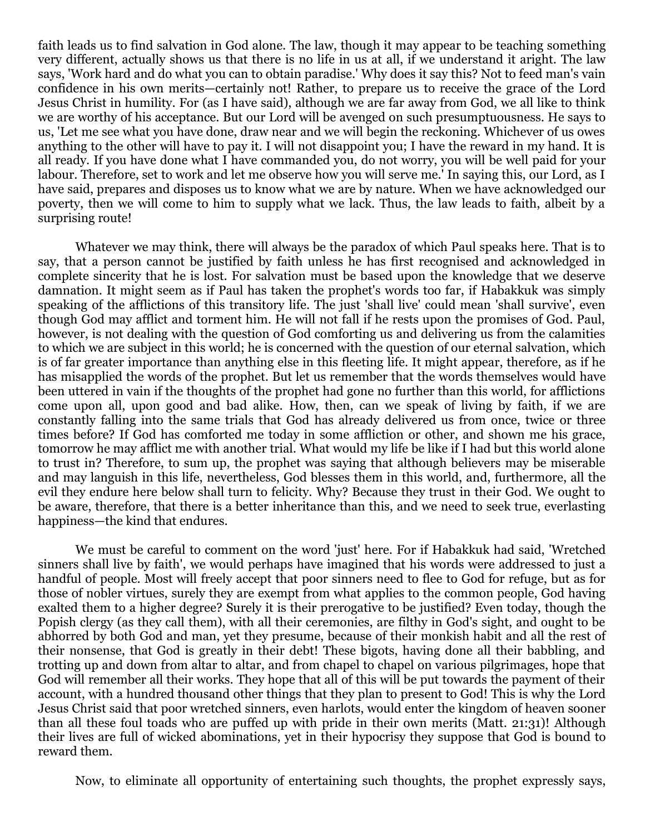faith leads us to find salvation in God alone. The law, though it may appear to be teaching something very different, actually shows us that there is no life in us at all, if we understand it aright. The law says, 'Work hard and do what you can to obtain paradise.' Why does it say this? Not to feed man's vain confidence in his own merits—certainly not! Rather, to prepare us to receive the grace of the Lord Jesus Christ in humility. For (as I have said), although we are far away from God, we all like to think we are worthy of his acceptance. But our Lord will be avenged on such presumptuousness. He says to us, 'Let me see what you have done, draw near and we will begin the reckoning. Whichever of us owes anything to the other will have to pay it. I will not disappoint you; I have the reward in my hand. It is all ready. If you have done what I have commanded you, do not worry, you will be well paid for your labour. Therefore, set to work and let me observe how you will serve me.' In saying this, our Lord, as I have said, prepares and disposes us to know what we are by nature. When we have acknowledged our poverty, then we will come to him to supply what we lack. Thus, the law leads to faith, albeit by a surprising route!

Whatever we may think, there will always be the paradox of which Paul speaks here. That is to say, that a person cannot be justified by faith unless he has first recognised and acknowledged in complete sincerity that he is lost. For salvation must be based upon the knowledge that we deserve damnation. It might seem as if Paul has taken the prophet's words too far, if Habakkuk was simply speaking of the afflictions of this transitory life. The just 'shall live' could mean 'shall survive', even though God may afflict and torment him. He will not fall if he rests upon the promises of God. Paul, however, is not dealing with the question of God comforting us and delivering us from the calamities to which we are subject in this world; he is concerned with the question of our eternal salvation, which is of far greater importance than anything else in this fleeting life. It might appear, therefore, as if he has misapplied the words of the prophet. But let us remember that the words themselves would have been uttered in vain if the thoughts of the prophet had gone no further than this world, for afflictions come upon all, upon good and bad alike. How, then, can we speak of living by faith, if we are constantly falling into the same trials that God has already delivered us from once, twice or three times before? If God has comforted me today in some affliction or other, and shown me his grace, tomorrow he may afflict me with another trial. What would my life be like if I had but this world alone to trust in? Therefore, to sum up, the prophet was saying that although believers may be miserable and may languish in this life, nevertheless, God blesses them in this world, and, furthermore, all the evil they endure here below shall turn to felicity. Why? Because they trust in their God. We ought to be aware, therefore, that there is a better inheritance than this, and we need to seek true, everlasting happiness—the kind that endures.

We must be careful to comment on the word 'just' here. For if Habakkuk had said, 'Wretched sinners shall live by faith', we would perhaps have imagined that his words were addressed to just a handful of people. Most will freely accept that poor sinners need to flee to God for refuge, but as for those of nobler virtues, surely they are exempt from what applies to the common people, God having exalted them to a higher degree? Surely it is their prerogative to be justified? Even today, though the Popish clergy (as they call them), with all their ceremonies, are filthy in God's sight, and ought to be abhorred by both God and man, yet they presume, because of their monkish habit and all the rest of their nonsense, that God is greatly in their debt! These bigots, having done all their babbling, and trotting up and down from altar to altar, and from chapel to chapel on various pilgrimages, hope that God will remember all their works. They hope that all of this will be put towards the payment of their account, with a hundred thousand other things that they plan to present to God! This is why the Lord Jesus Christ said that poor wretched sinners, even harlots, would enter the kingdom of heaven sooner than all these foul toads who are puffed up with pride in their own merits (Matt. 21:31)! Although their lives are full of wicked abominations, yet in their hypocrisy they suppose that God is bound to reward them.

Now, to eliminate all opportunity of entertaining such thoughts, the prophet expressly says,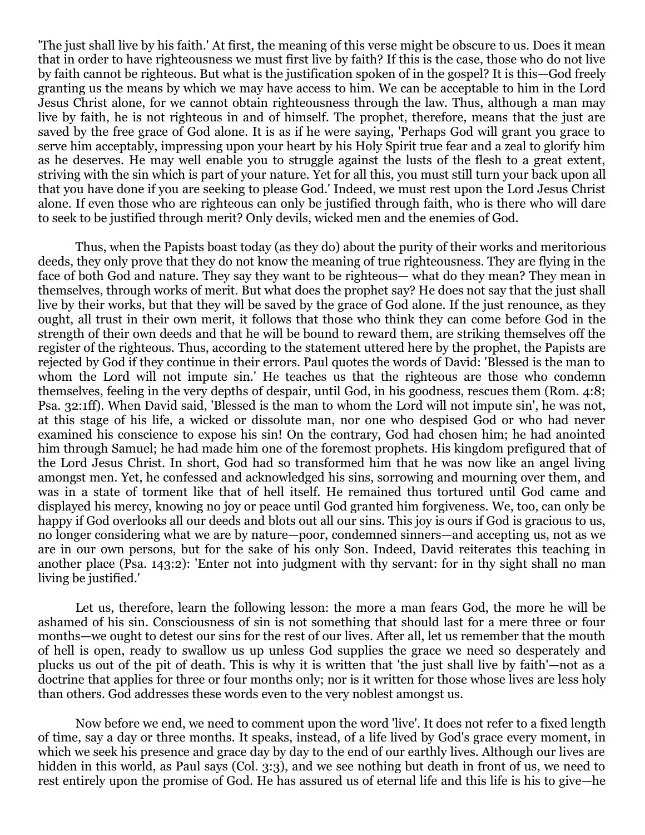'The just shall live by his faith.' At first, the meaning of this verse might be obscure to us. Does it mean that in order to have righteousness we must first live by faith? If this is the case, those who do not live by faith cannot be righteous. But what is the justification spoken of in the gospel? It is this—God freely granting us the means by which we may have access to him. We can be acceptable to him in the Lord Jesus Christ alone, for we cannot obtain righteousness through the law. Thus, although a man may live by faith, he is not righteous in and of himself. The prophet, therefore, means that the just are saved by the free grace of God alone. It is as if he were saying, 'Perhaps God will grant you grace to serve him acceptably, impressing upon your heart by his Holy Spirit true fear and a zeal to glorify him as he deserves. He may well enable you to struggle against the lusts of the flesh to a great extent, striving with the sin which is part of your nature. Yet for all this, you must still turn your back upon all that you have done if you are seeking to please God.' Indeed, we must rest upon the Lord Jesus Christ alone. If even those who are righteous can only be justified through faith, who is there who will dare to seek to be justified through merit? Only devils, wicked men and the enemies of God.

Thus, when the Papists boast today (as they do) about the purity of their works and meritorious deeds, they only prove that they do not know the meaning of true righteousness. They are flying in the face of both God and nature. They say they want to be righteous— what do they mean? They mean in themselves, through works of merit. But what does the prophet say? He does not say that the just shall live by their works, but that they will be saved by the grace of God alone. If the just renounce, as they ought, all trust in their own merit, it follows that those who think they can come before God in the strength of their own deeds and that he will be bound to reward them, are striking themselves off the register of the righteous. Thus, according to the statement uttered here by the prophet, the Papists are rejected by God if they continue in their errors. Paul quotes the words of David: 'Blessed is the man to whom the Lord will not impute sin.' He teaches us that the righteous are those who condemn themselves, feeling in the very depths of despair, until God, in his goodness, rescues them (Rom. 4:8; Psa. 32:1ff). When David said, 'Blessed is the man to whom the Lord will not impute sin', he was not, at this stage of his life, a wicked or dissolute man, nor one who despised God or who had never examined his conscience to expose his sin! On the contrary, God had chosen him; he had anointed him through Samuel; he had made him one of the foremost prophets. His kingdom prefigured that of the Lord Jesus Christ. In short, God had so transformed him that he was now like an angel living amongst men. Yet, he confessed and acknowledged his sins, sorrowing and mourning over them, and was in a state of torment like that of hell itself. He remained thus tortured until God came and displayed his mercy, knowing no joy or peace until God granted him forgiveness. We, too, can only be happy if God overlooks all our deeds and blots out all our sins. This joy is ours if God is gracious to us, no longer considering what we are by nature—poor, condemned sinners—and accepting us, not as we are in our own persons, but for the sake of his only Son. Indeed, David reiterates this teaching in another place (Psa. 143:2): 'Enter not into judgment with thy servant: for in thy sight shall no man living be justified.'

Let us, therefore, learn the following lesson: the more a man fears God, the more he will be ashamed of his sin. Consciousness of sin is not something that should last for a mere three or four months—we ought to detest our sins for the rest of our lives. After all, let us remember that the mouth of hell is open, ready to swallow us up unless God supplies the grace we need so desperately and plucks us out of the pit of death. This is why it is written that 'the just shall live by faith'—not as a doctrine that applies for three or four months only; nor is it written for those whose lives are less holy than others. God addresses these words even to the very noblest amongst us.

Now before we end, we need to comment upon the word 'live'. It does not refer to a fixed length of time, say a day or three months. It speaks, instead, of a life lived by God's grace every moment, in which we seek his presence and grace day by day to the end of our earthly lives. Although our lives are hidden in this world, as Paul says (Col. 3:3), and we see nothing but death in front of us, we need to rest entirely upon the promise of God. He has assured us of eternal life and this life is his to give—he